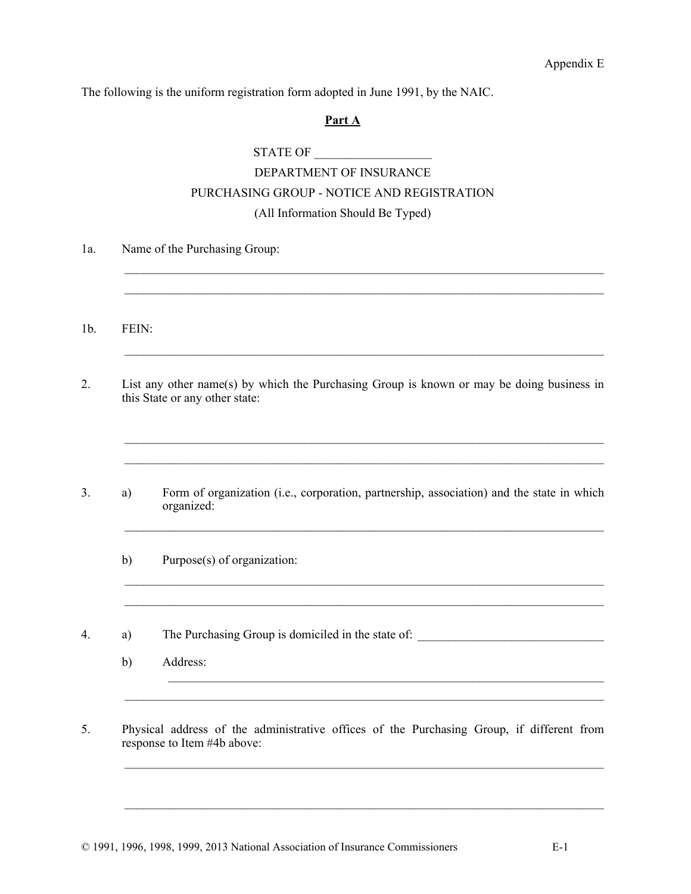Appendix E

The following is the uniform registration form adopted in June 1991, by the NAIC.

## **Part A**

STATE OF

# DEPARTMENT OF INSURANCE PURCHASING GROUP - NOTICE AND REGISTRATION (All Information Should Be Typed)

1a. Name of the Purchasing Group:  $\mathcal{L}_\mathcal{L} = \{ \mathcal{L}_\mathcal{L} = \{ \mathcal{L}_\mathcal{L} = \{ \mathcal{L}_\mathcal{L} = \{ \mathcal{L}_\mathcal{L} = \{ \mathcal{L}_\mathcal{L} = \{ \mathcal{L}_\mathcal{L} = \{ \mathcal{L}_\mathcal{L} = \{ \mathcal{L}_\mathcal{L} = \{ \mathcal{L}_\mathcal{L} = \{ \mathcal{L}_\mathcal{L} = \{ \mathcal{L}_\mathcal{L} = \{ \mathcal{L}_\mathcal{L} = \{ \mathcal{L}_\mathcal{L} = \{ \mathcal{L}_\mathcal{$  $\mathcal{L}_\mathcal{L} = \{ \mathcal{L}_\mathcal{L} = \{ \mathcal{L}_\mathcal{L} = \{ \mathcal{L}_\mathcal{L} = \{ \mathcal{L}_\mathcal{L} = \{ \mathcal{L}_\mathcal{L} = \{ \mathcal{L}_\mathcal{L} = \{ \mathcal{L}_\mathcal{L} = \{ \mathcal{L}_\mathcal{L} = \{ \mathcal{L}_\mathcal{L} = \{ \mathcal{L}_\mathcal{L} = \{ \mathcal{L}_\mathcal{L} = \{ \mathcal{L}_\mathcal{L} = \{ \mathcal{L}_\mathcal{L} = \{ \mathcal{L}_\mathcal{$ 1b. FEIN: 2. List any other name(s) by which the Purchasing Group is known or may be doing business in this State or any other state:  $\mathcal{L}_\mathcal{L} = \{ \mathcal{L}_\mathcal{L} = \{ \mathcal{L}_\mathcal{L} = \{ \mathcal{L}_\mathcal{L} = \{ \mathcal{L}_\mathcal{L} = \{ \mathcal{L}_\mathcal{L} = \{ \mathcal{L}_\mathcal{L} = \{ \mathcal{L}_\mathcal{L} = \{ \mathcal{L}_\mathcal{L} = \{ \mathcal{L}_\mathcal{L} = \{ \mathcal{L}_\mathcal{L} = \{ \mathcal{L}_\mathcal{L} = \{ \mathcal{L}_\mathcal{L} = \{ \mathcal{L}_\mathcal{L} = \{ \mathcal{L}_\mathcal{$  $\mathcal{L}_\mathcal{L} = \{ \mathcal{L}_\mathcal{L} = \{ \mathcal{L}_\mathcal{L} = \{ \mathcal{L}_\mathcal{L} = \{ \mathcal{L}_\mathcal{L} = \{ \mathcal{L}_\mathcal{L} = \{ \mathcal{L}_\mathcal{L} = \{ \mathcal{L}_\mathcal{L} = \{ \mathcal{L}_\mathcal{L} = \{ \mathcal{L}_\mathcal{L} = \{ \mathcal{L}_\mathcal{L} = \{ \mathcal{L}_\mathcal{L} = \{ \mathcal{L}_\mathcal{L} = \{ \mathcal{L}_\mathcal{L} = \{ \mathcal{L}_\mathcal{$ 3. a) Form of organization (i.e., corporation, partnership, association) and the state in which organized:  $\mathcal{L}_\mathcal{L} = \{ \mathcal{L}_\mathcal{L} = \{ \mathcal{L}_\mathcal{L} = \{ \mathcal{L}_\mathcal{L} = \{ \mathcal{L}_\mathcal{L} = \{ \mathcal{L}_\mathcal{L} = \{ \mathcal{L}_\mathcal{L} = \{ \mathcal{L}_\mathcal{L} = \{ \mathcal{L}_\mathcal{L} = \{ \mathcal{L}_\mathcal{L} = \{ \mathcal{L}_\mathcal{L} = \{ \mathcal{L}_\mathcal{L} = \{ \mathcal{L}_\mathcal{L} = \{ \mathcal{L}_\mathcal{L} = \{ \mathcal{L}_\mathcal{$ b) Purpose(s) of organization:  $\mathcal{L}_\mathcal{L} = \{ \mathcal{L}_\mathcal{L} = \{ \mathcal{L}_\mathcal{L} = \{ \mathcal{L}_\mathcal{L} = \{ \mathcal{L}_\mathcal{L} = \{ \mathcal{L}_\mathcal{L} = \{ \mathcal{L}_\mathcal{L} = \{ \mathcal{L}_\mathcal{L} = \{ \mathcal{L}_\mathcal{L} = \{ \mathcal{L}_\mathcal{L} = \{ \mathcal{L}_\mathcal{L} = \{ \mathcal{L}_\mathcal{L} = \{ \mathcal{L}_\mathcal{L} = \{ \mathcal{L}_\mathcal{L} = \{ \mathcal{L}_\mathcal{$  $\mathcal{L}_\mathcal{L} = \{ \mathcal{L}_\mathcal{L} = \{ \mathcal{L}_\mathcal{L} = \{ \mathcal{L}_\mathcal{L} = \{ \mathcal{L}_\mathcal{L} = \{ \mathcal{L}_\mathcal{L} = \{ \mathcal{L}_\mathcal{L} = \{ \mathcal{L}_\mathcal{L} = \{ \mathcal{L}_\mathcal{L} = \{ \mathcal{L}_\mathcal{L} = \{ \mathcal{L}_\mathcal{L} = \{ \mathcal{L}_\mathcal{L} = \{ \mathcal{L}_\mathcal{L} = \{ \mathcal{L}_\mathcal{L} = \{ \mathcal{L}_\mathcal{$ 4. a) The Purchasing Group is domiciled in the state of: \_\_\_\_\_\_\_\_\_\_\_\_\_\_\_\_\_\_\_\_\_\_\_\_ b) Address:  $\mathcal{L}_\mathcal{L} = \{ \mathcal{L}_\mathcal{L} = \{ \mathcal{L}_\mathcal{L} = \{ \mathcal{L}_\mathcal{L} = \{ \mathcal{L}_\mathcal{L} = \{ \mathcal{L}_\mathcal{L} = \{ \mathcal{L}_\mathcal{L} = \{ \mathcal{L}_\mathcal{L} = \{ \mathcal{L}_\mathcal{L} = \{ \mathcal{L}_\mathcal{L} = \{ \mathcal{L}_\mathcal{L} = \{ \mathcal{L}_\mathcal{L} = \{ \mathcal{L}_\mathcal{L} = \{ \mathcal{L}_\mathcal{L} = \{ \mathcal{L}_\mathcal{$ 5. Physical address of the administrative offices of the Purchasing Group, if different from response to Item #4b above:

 $\mathcal{L}_\mathcal{L} = \{ \mathcal{L}_\mathcal{L} = \{ \mathcal{L}_\mathcal{L} = \{ \mathcal{L}_\mathcal{L} = \{ \mathcal{L}_\mathcal{L} = \{ \mathcal{L}_\mathcal{L} = \{ \mathcal{L}_\mathcal{L} = \{ \mathcal{L}_\mathcal{L} = \{ \mathcal{L}_\mathcal{L} = \{ \mathcal{L}_\mathcal{L} = \{ \mathcal{L}_\mathcal{L} = \{ \mathcal{L}_\mathcal{L} = \{ \mathcal{L}_\mathcal{L} = \{ \mathcal{L}_\mathcal{L} = \{ \mathcal{L}_\mathcal{$ 

 $\mathcal{L}_\mathcal{L} = \{ \mathcal{L}_\mathcal{L} = \{ \mathcal{L}_\mathcal{L} = \{ \mathcal{L}_\mathcal{L} = \{ \mathcal{L}_\mathcal{L} = \{ \mathcal{L}_\mathcal{L} = \{ \mathcal{L}_\mathcal{L} = \{ \mathcal{L}_\mathcal{L} = \{ \mathcal{L}_\mathcal{L} = \{ \mathcal{L}_\mathcal{L} = \{ \mathcal{L}_\mathcal{L} = \{ \mathcal{L}_\mathcal{L} = \{ \mathcal{L}_\mathcal{L} = \{ \mathcal{L}_\mathcal{L} = \{ \mathcal{L}_\mathcal{$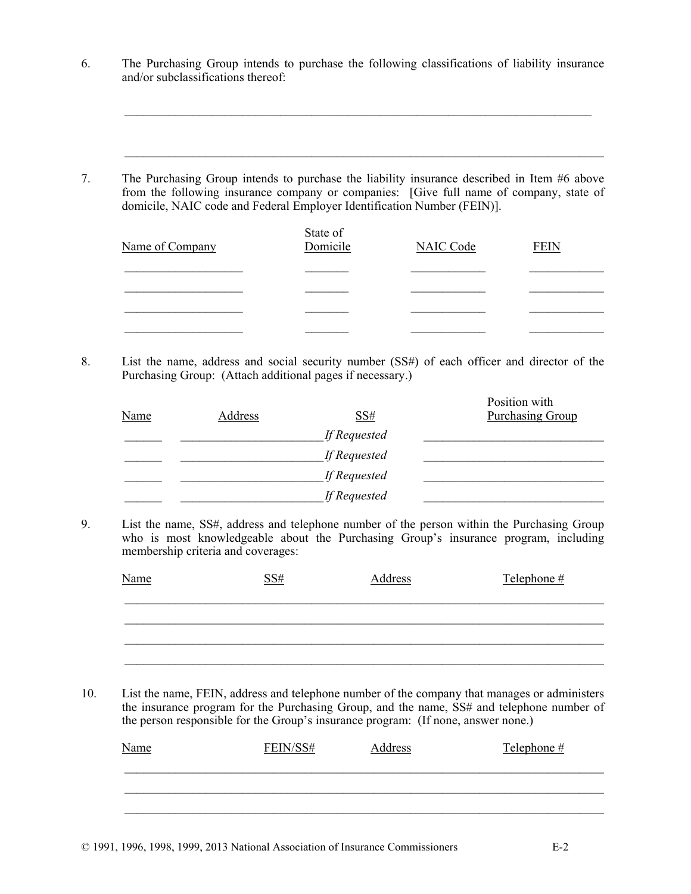6. The Purchasing Group intends to purchase the following classifications of liability insurance and/or subclassifications thereof:

 $\mathcal{L}_\text{max} = \frac{1}{2} \sum_{i=1}^n \mathcal{L}_\text{max} = \frac{1}{2} \sum_{i=1}^n \mathcal{L}_\text{max} = \frac{1}{2} \sum_{i=1}^n \mathcal{L}_\text{max} = \frac{1}{2} \sum_{i=1}^n \mathcal{L}_\text{max} = \frac{1}{2} \sum_{i=1}^n \mathcal{L}_\text{max} = \frac{1}{2} \sum_{i=1}^n \mathcal{L}_\text{max} = \frac{1}{2} \sum_{i=1}^n \mathcal{L}_\text{max} = \frac{1}{2} \sum_{i=$ 

 $\mathcal{L}_\mathcal{L} = \{ \mathcal{L}_\mathcal{L} = \{ \mathcal{L}_\mathcal{L} = \{ \mathcal{L}_\mathcal{L} = \{ \mathcal{L}_\mathcal{L} = \{ \mathcal{L}_\mathcal{L} = \{ \mathcal{L}_\mathcal{L} = \{ \mathcal{L}_\mathcal{L} = \{ \mathcal{L}_\mathcal{L} = \{ \mathcal{L}_\mathcal{L} = \{ \mathcal{L}_\mathcal{L} = \{ \mathcal{L}_\mathcal{L} = \{ \mathcal{L}_\mathcal{L} = \{ \mathcal{L}_\mathcal{L} = \{ \mathcal{L}_\mathcal{$ 

7. The Purchasing Group intends to purchase the liability insurance described in Item #6 above from the following insurance company or companies: [Give full name of company, state of domicile, NAIC code and Federal Employer Identification Number (FEIN)].

| Name of Company | State of<br>Domicile | <b>NAIC Code</b> | <b>FEIN</b> |
|-----------------|----------------------|------------------|-------------|
|                 |                      |                  |             |
|                 |                      |                  |             |
|                 |                      |                  |             |
|                 |                      |                  |             |

8. List the name, address and social security number (SS#) of each officer and director of the Purchasing Group: (Attach additional pages if necessary.)

| <b>Name</b> | Address | <u>SS#</u>   | Position with<br><b>Purchasing Group</b> |
|-------------|---------|--------------|------------------------------------------|
|             |         | If Requested |                                          |
|             |         | If Requested |                                          |
|             |         | If Requested |                                          |
|             |         | If Requested |                                          |

9. List the name, SS#, address and telephone number of the person within the Purchasing Group who is most knowledgeable about the Purchasing Group's insurance program, including membership criteria and coverages:

| <b>Name</b> | SS# | Address | Telephone $#$ |
|-------------|-----|---------|---------------|
|             |     |         |               |
|             |     |         |               |
|             |     |         |               |

10. List the name, FEIN, address and telephone number of the company that manages or administers the insurance program for the Purchasing Group, and the name, SS# and telephone number of the person responsible for the Group's insurance program: (If none, answer none.)

| <b>Name</b> | FEIN/SS# | Address | Telephone $#$ |
|-------------|----------|---------|---------------|
|             |          |         |               |
|             |          |         |               |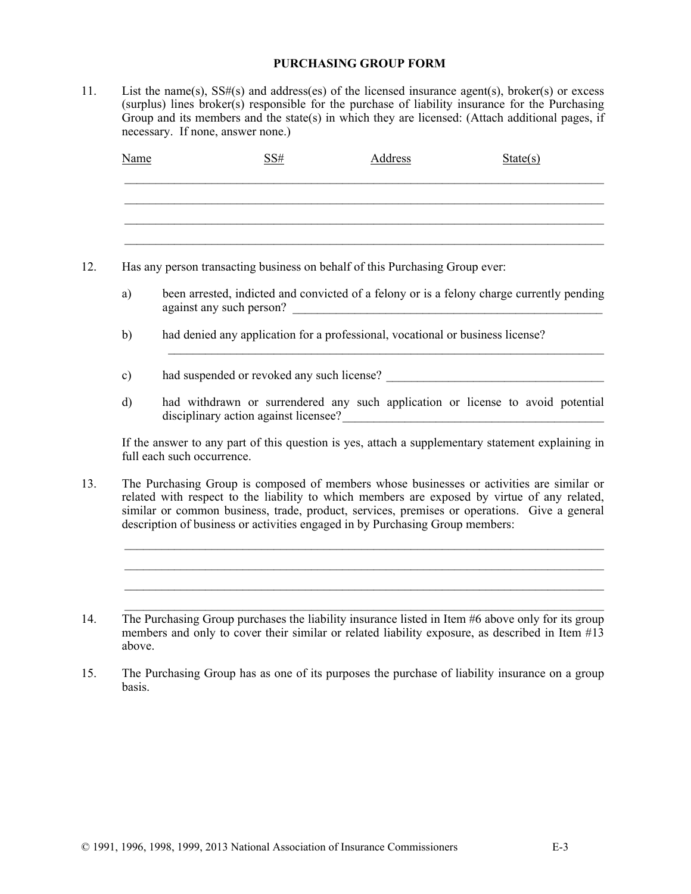### **PURCHASING GROUP FORM**

11. List the name(s), SS#(s) and address(es) of the licensed insurance agent(s), broker(s) or excess (surplus) lines broker(s) responsible for the purchase of liability insurance for the Purchasing Group and its members and the state(s) in which they are licensed: (Attach additional pages, if necessary. If none, answer none.)

| Name | SS# | Address | State(s) |
|------|-----|---------|----------|
|      |     |         |          |
|      |     |         |          |
|      |     |         |          |

- 12. Has any person transacting business on behalf of this Purchasing Group ever:
	- a) been arrested, indicted and convicted of a felony or is a felony charge currently pending against any such person?

 $\mathcal{L}_\text{max} = \mathcal{L}_\text{max} = \mathcal{L}_\text{max} = \mathcal{L}_\text{max} = \mathcal{L}_\text{max} = \mathcal{L}_\text{max} = \mathcal{L}_\text{max} = \mathcal{L}_\text{max} = \mathcal{L}_\text{max} = \mathcal{L}_\text{max} = \mathcal{L}_\text{max} = \mathcal{L}_\text{max} = \mathcal{L}_\text{max} = \mathcal{L}_\text{max} = \mathcal{L}_\text{max} = \mathcal{L}_\text{max} = \mathcal{L}_\text{max} = \mathcal{L}_\text{max} = \mathcal{$ 

- b) had denied any application for a professional, vocational or business license?
- c) had suspended or revoked any such license?
- d) had withdrawn or surrendered any such application or license to avoid potential disciplinary action against licensee?

If the answer to any part of this question is yes, attach a supplementary statement explaining in full each such occurrence.

13. The Purchasing Group is composed of members whose businesses or activities are similar or related with respect to the liability to which members are exposed by virtue of any related, similar or common business, trade, product, services, premises or operations. Give a general description of business or activities engaged in by Purchasing Group members:

 $\mathcal{L}_\mathcal{L} = \{ \mathcal{L}_\mathcal{L} = \{ \mathcal{L}_\mathcal{L} = \{ \mathcal{L}_\mathcal{L} = \{ \mathcal{L}_\mathcal{L} = \{ \mathcal{L}_\mathcal{L} = \{ \mathcal{L}_\mathcal{L} = \{ \mathcal{L}_\mathcal{L} = \{ \mathcal{L}_\mathcal{L} = \{ \mathcal{L}_\mathcal{L} = \{ \mathcal{L}_\mathcal{L} = \{ \mathcal{L}_\mathcal{L} = \{ \mathcal{L}_\mathcal{L} = \{ \mathcal{L}_\mathcal{L} = \{ \mathcal{L}_\mathcal{$  $\mathcal{L}_\mathcal{L} = \{ \mathcal{L}_\mathcal{L} = \{ \mathcal{L}_\mathcal{L} = \{ \mathcal{L}_\mathcal{L} = \{ \mathcal{L}_\mathcal{L} = \{ \mathcal{L}_\mathcal{L} = \{ \mathcal{L}_\mathcal{L} = \{ \mathcal{L}_\mathcal{L} = \{ \mathcal{L}_\mathcal{L} = \{ \mathcal{L}_\mathcal{L} = \{ \mathcal{L}_\mathcal{L} = \{ \mathcal{L}_\mathcal{L} = \{ \mathcal{L}_\mathcal{L} = \{ \mathcal{L}_\mathcal{L} = \{ \mathcal{L}_\mathcal{$  $\mathcal{L}_\mathcal{L} = \{ \mathcal{L}_\mathcal{L} = \{ \mathcal{L}_\mathcal{L} = \{ \mathcal{L}_\mathcal{L} = \{ \mathcal{L}_\mathcal{L} = \{ \mathcal{L}_\mathcal{L} = \{ \mathcal{L}_\mathcal{L} = \{ \mathcal{L}_\mathcal{L} = \{ \mathcal{L}_\mathcal{L} = \{ \mathcal{L}_\mathcal{L} = \{ \mathcal{L}_\mathcal{L} = \{ \mathcal{L}_\mathcal{L} = \{ \mathcal{L}_\mathcal{L} = \{ \mathcal{L}_\mathcal{L} = \{ \mathcal{L}_\mathcal{$  $\mathcal{L}_\mathcal{L} = \{ \mathcal{L}_\mathcal{L} = \{ \mathcal{L}_\mathcal{L} = \{ \mathcal{L}_\mathcal{L} = \{ \mathcal{L}_\mathcal{L} = \{ \mathcal{L}_\mathcal{L} = \{ \mathcal{L}_\mathcal{L} = \{ \mathcal{L}_\mathcal{L} = \{ \mathcal{L}_\mathcal{L} = \{ \mathcal{L}_\mathcal{L} = \{ \mathcal{L}_\mathcal{L} = \{ \mathcal{L}_\mathcal{L} = \{ \mathcal{L}_\mathcal{L} = \{ \mathcal{L}_\mathcal{L} = \{ \mathcal{L}_\mathcal{$ 

- 14. The Purchasing Group purchases the liability insurance listed in Item #6 above only for its group members and only to cover their similar or related liability exposure, as described in Item #13 above.
- 15. The Purchasing Group has as one of its purposes the purchase of liability insurance on a group basis.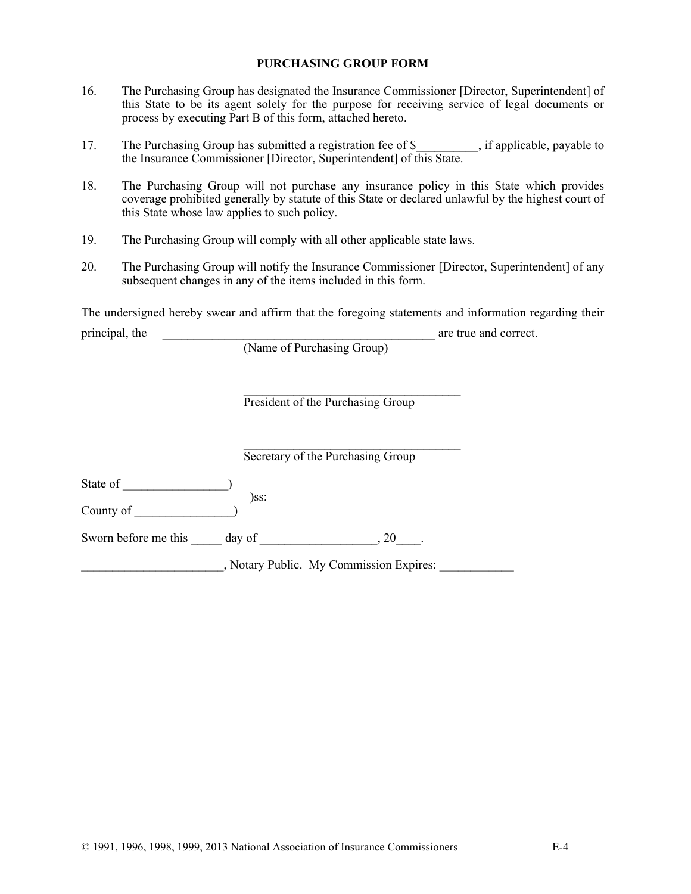#### **PURCHASING GROUP FORM**

- 16. The Purchasing Group has designated the Insurance Commissioner [Director, Superintendent] of this State to be its agent solely for the purpose for receiving service of legal documents or process by executing Part B of this form, attached hereto.
- 17. The Purchasing Group has submitted a registration fee of \$, if applicable, payable to the Insurance Commissioner [Director, Superintendent] of this State.
- 18. The Purchasing Group will not purchase any insurance policy in this State which provides coverage prohibited generally by statute of this State or declared unlawful by the highest court of this State whose law applies to such policy.
- 19. The Purchasing Group will comply with all other applicable state laws.
- 20. The Purchasing Group will notify the Insurance Commissioner [Director, Superintendent] of any subsequent changes in any of the items included in this form.

The undersigned hereby swear and affirm that the foregoing statements and information regarding their principal, the \_\_\_\_\_\_\_\_\_\_\_\_\_\_\_\_\_\_\_\_\_\_\_\_\_\_\_\_\_\_\_\_\_\_\_\_\_\_\_\_\_\_\_\_ are true and correct.

|                      | (Name of Purchasing Group)              |
|----------------------|-----------------------------------------|
|                      | President of the Purchasing Group       |
|                      | Secretary of the Purchasing Group       |
| State of             |                                         |
| County of            | )ss:                                    |
| Sworn before me this | day of<br>20                            |
|                      | , Notary Public. My Commission Expires: |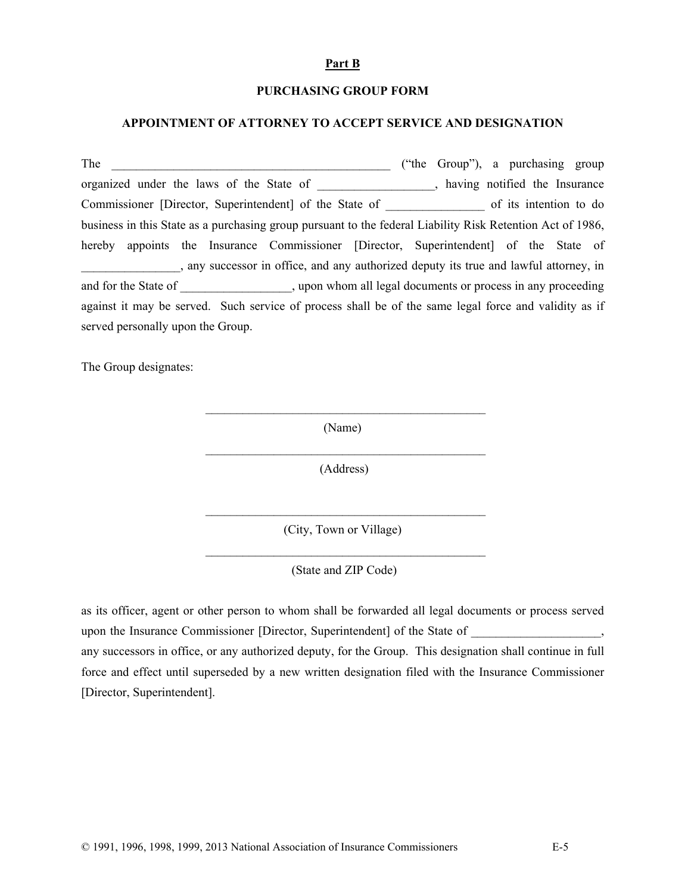#### **Part B**

#### **PURCHASING GROUP FORM**

#### **APPOINTMENT OF ATTORNEY TO ACCEPT SERVICE AND DESIGNATION**

The \_\_\_\_\_\_\_\_\_\_\_\_\_\_\_\_\_\_\_\_\_\_\_\_\_\_\_\_\_\_\_\_\_\_\_\_\_\_\_\_\_\_\_\_\_ ("the Group"), a purchasing group organized under the laws of the State of \_\_\_\_\_\_\_\_\_\_\_\_\_\_\_\_\_\_\_, having notified the Insurance Commissioner [Director, Superintendent] of the State of of its intention to do business in this State as a purchasing group pursuant to the federal Liability Risk Retention Act of 1986, hereby appoints the Insurance Commissioner [Director, Superintendent] of the State of \_\_\_\_\_\_\_\_\_\_\_\_\_\_\_\_, any successor in office, and any authorized deputy its true and lawful attorney, in and for the State of  $\qquad \qquad$ , upon whom all legal documents or process in any proceeding against it may be served. Such service of process shall be of the same legal force and validity as if served personally upon the Group.

The Group designates:

(Name)

 $\mathcal{L}_\text{max}$  and the contract of the contract of the contract of the contract of the contract of the contract of the contract of the contract of the contract of the contract of the contract of the contract of the contrac

 $\mathcal{L}_\text{max}$  and the contract of the contract of the contract of the contract of the contract of the contract of the contract of the contract of the contract of the contract of the contract of the contract of the contrac

 $\mathcal{L}_\text{max}$  and the contract of the contract of the contract of the contract of the contract of the contract of the contract of the contract of the contract of the contract of the contract of the contract of the contrac

 $\mathcal{L}_\text{max}$  and the contract of the contract of the contract of the contract of the contract of the contract of the contract of the contract of the contract of the contract of the contract of the contract of the contrac

(Address)

(City, Town or Village)

(State and ZIP Code)

as its officer, agent or other person to whom shall be forwarded all legal documents or process served upon the Insurance Commissioner [Director, Superintendent] of the State of any successors in office, or any authorized deputy, for the Group. This designation shall continue in full force and effect until superseded by a new written designation filed with the Insurance Commissioner [Director, Superintendent].